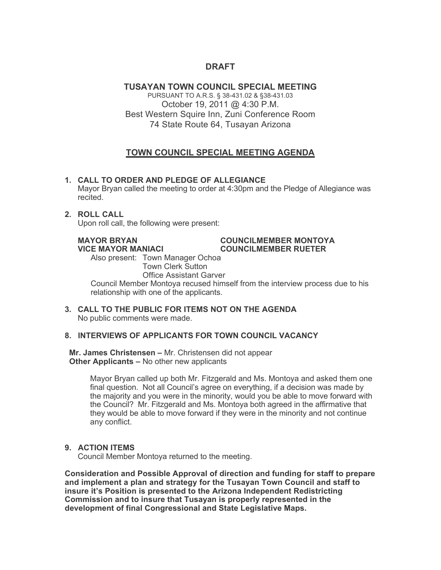# **DRAFT**

# **TUSAYAN TOWN COUNCIL SPECIAL MEETING**

PURSUANT TO A.R.S. § 38-431.02 & §38-431.03 October 19, 2011 @ 4:30 P.M. Best Western Squire Inn, Zuni Conference Room 74 State Route 64, Tusayan Arizona

# **TOWN COUNCIL SPECIAL MEETING AGENDA**

# **1. CALL TO ORDER AND PLEDGE OF ALLEGIANCE**

Mayor Bryan called the meeting to order at 4:30pm and the Pledge of Allegiance was recited.

# **2. ROLL CALL**

Upon roll call, the following were present:

#### **MAYOR BRYAN COUNCILMEMBER MONTOYA VICE MAYOR MANIACI COUNCILMEMBER RUETER**

Also present: Town Manager Ochoa Town Clerk Sutton

Office Assistant Garver

Council Member Montoya recused himself from the interview process due to his relationship with one of the applicants.

**3. CALL TO THE PUBLIC FOR ITEMS NOT ON THE AGENDA**  No public comments were made.

# **8. INTERVIEWS OF APPLICANTS FOR TOWN COUNCIL VACANCY**

 **Mr. James Christensen –** Mr. Christensen did not appear  **Other Applicants –** No other new applicants

> Mayor Bryan called up both Mr. Fitzgerald and Ms. Montoya and asked them one final question. Not all Council's agree on everything, if a decision was made by the majority and you were in the minority, would you be able to move forward with the Council? Mr. Fitzgerald and Ms. Montoya both agreed in the affirmative that they would be able to move forward if they were in the minority and not continue any conflict.

# **9. ACTION ITEMS**

Council Member Montoya returned to the meeting.

**Consideration and Possible Approval of direction and funding for staff to prepare and implement a plan and strategy for the Tusayan Town Council and staff to insure it's Position is presented to the Arizona Independent Redistricting Commission and to insure that Tusayan is properly represented in the development of final Congressional and State Legislative Maps.**